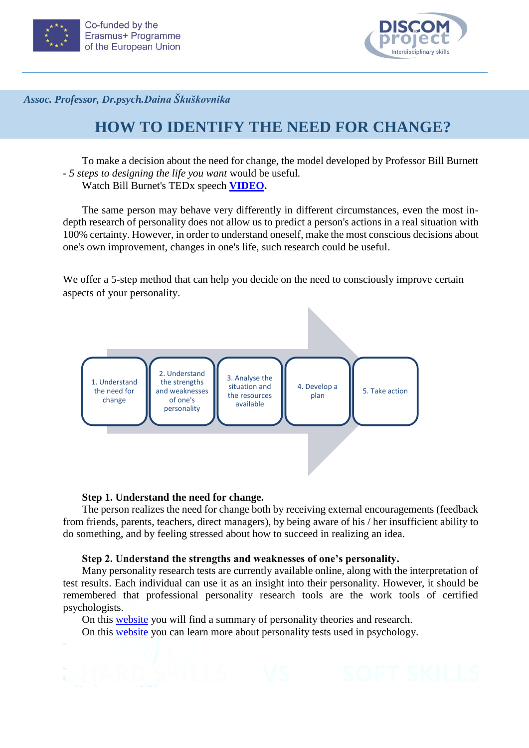



*Assoc. Professor, Dr.psych.Daina Škuškovnika*

# **HOW TO IDENTIFY THE NEED FOR CHANGE?**

To make a decision about the need for change, the model developed by Professor Bill Burnett - *5 steps to designing the life you want* would be useful*.*  Watch Bill Burnet's TEDx speech **[VIDEO.](https://www.youtube.com/watch?v=SemHh0n19LA)**

The same person may behave very differently in different circumstances, even the most indepth research of personality does not allow us to predict a person's actions in a real situation with 100% certainty. However, in order to understand oneself, make the most conscious decisions about one's own improvement, changes in one's life, such research could be useful.

We offer a 5-step method that can help you decide on the need to consciously improve certain aspects of your personality.



# **Step 1. Understand the need for change.**

The person realizes the need for change both by receiving external encouragements (feedback from friends, parents, teachers, direct managers), by being aware of his / her insufficient ability to do something, and by feeling stressed about how to succeed in realizing an idea.

# **Step 2. Understand the strengths and weaknesses of one's personality.**

Many personality research tests are currently available online, along with the interpretation of test results. Each individual can use it as an insight into their personality. However, it should be remembered that professional personality research tools are the work tools of certified psychologists.

On this [website](https://personality-project.org/) you will find a summary of personality theories and research.

On this [website](https://www.mentalhelp.net/psychological-testing/big-five-personality-traits/) you can learn more about personality tests used in psychology.